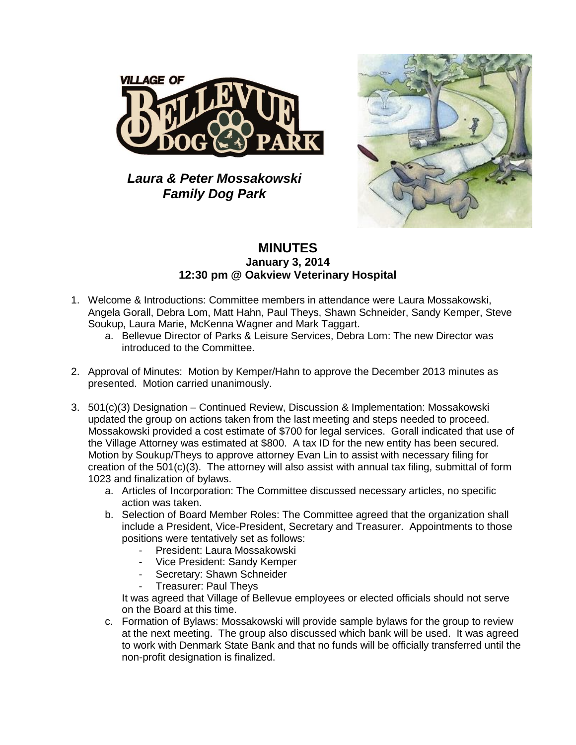

## *Laura & Peter Mossakowski Family Dog Park*



## **MINUTES January 3, 2014 12:30 pm @ Oakview Veterinary Hospital**

- 1. Welcome & Introductions: Committee members in attendance were Laura Mossakowski, Angela Gorall, Debra Lom, Matt Hahn, Paul Theys, Shawn Schneider, Sandy Kemper, Steve Soukup, Laura Marie, McKenna Wagner and Mark Taggart.
	- a. Bellevue Director of Parks & Leisure Services, Debra Lom: The new Director was introduced to the Committee.
- 2. Approval of Minutes: Motion by Kemper/Hahn to approve the December 2013 minutes as presented. Motion carried unanimously.
- 3. 501(c)(3) Designation Continued Review, Discussion & Implementation: Mossakowski updated the group on actions taken from the last meeting and steps needed to proceed. Mossakowski provided a cost estimate of \$700 for legal services. Gorall indicated that use of the Village Attorney was estimated at \$800. A tax ID for the new entity has been secured. Motion by Soukup/Theys to approve attorney Evan Lin to assist with necessary filing for creation of the  $501(c)(3)$ . The attorney will also assist with annual tax filing, submittal of form 1023 and finalization of bylaws.
	- a. Articles of Incorporation: The Committee discussed necessary articles, no specific action was taken.
	- b. Selection of Board Member Roles: The Committee agreed that the organization shall include a President, Vice-President, Secretary and Treasurer. Appointments to those positions were tentatively set as follows:
		- President: Laura Mossakowski
		- Vice President: Sandy Kemper
		- Secretary: Shawn Schneider
		- Treasurer: Paul Theys

It was agreed that Village of Bellevue employees or elected officials should not serve on the Board at this time.

c. Formation of Bylaws: Mossakowski will provide sample bylaws for the group to review at the next meeting. The group also discussed which bank will be used. It was agreed to work with Denmark State Bank and that no funds will be officially transferred until the non-profit designation is finalized.